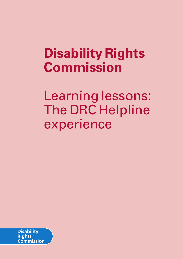# **Disability Rights Commission**

Learning lessons: The DRC Helpline experience

**Disability Rights Commission**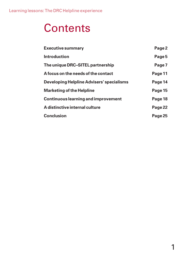# **Contents**

| <b>Executive summary</b>                   | Page 2  |
|--------------------------------------------|---------|
| <b>Introduction</b>                        | Page 5  |
| The unique DRC-SITEL partnership           | Page 7  |
| A focus on the needs of the contact        | Page 11 |
| Developing Helpline Advisers' specialisms  | Page 14 |
| <b>Marketing of the Helpline</b>           | Page 15 |
| <b>Continuous learning and improvement</b> | Page 18 |
| A distinctive internal culture             | Page 22 |
| <b>Conclusion</b>                          | Page 25 |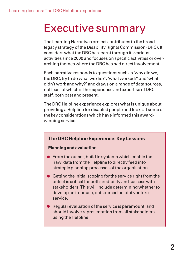## Executive summary

The Learning Narratives project contributes to the broad legacy strategy of the Disability Rights Commission (DRC). It considers what the DRC has learnt through its various activities since 2000 and focuses on specific activities or overarching themes where the DRC has had direct involvement.

Each narrative responds to questions such as 'why did we, the DRC, try to do what we did?', 'what worked?' and 'what didn't work and why?' and draws on a range of data sources, not least of which is the experience and expertise of DRC staff, both past and present.

The DRC Helpline experience explores what is unique about providing a Helpline for disabled people and looks at some of the key considerations which have informed this awardwinning service.

## **The DRC Helpline Experience: Key Lessons**

### **Planning and evaluation**

- **•** From the outset, build in systems which enable the 'raw' data from the Helpline to directly feed into strategic planning processes of the organisation.
- $\bullet$  Getting the initial scoping for the service right from the outset is critical for both credibility and success with stakeholders. This will include determining whether to develop an in-house, outsourced or joint venture service.
- Regular evaluation of the service is paramount, and should involve representation from all stakeholders using the Helpline.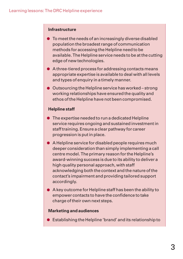#### **Infrastructure**

- To meet the needs of an increasingly diverse disabled population the broadest range of communication methods for accessing the Helpline need to be available. The Helpline service needs to be at the cutting edge of new technologies.
- A three-tiered process for addressing contacts means appropriate expertise is available to deal with all levels and types of enquiry in a timely manner.
- Outsourcing the Helpline service has worked strong working relationships have ensured the quality and ethos of the Helpline have not been compromised.

### **Helpline staff**

- **•** The expertise needed to run a dedicated Helpline service requires ongoing and sustained investment in staff training. Ensure a clear pathway for career progression is put in place.
- A Helpline service for disabled people requires much deeper consideration than simply implementing a call centre model. The primary reason for the Helpline's award-winning success is due to its ability to deliver a high quality personal approach, with staff acknowledging both the context and the nature of the contact's impairment and providing tailored support accordingly.
- A key outcome for Helpline staff has been the ability to empower contacts to have the confidence to take charge of their own next steps.

#### **Marketing and audiences**

• Establishing the Helpline 'brand' and its relationship to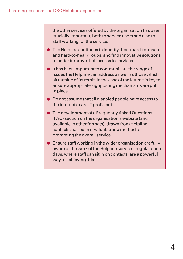the other services offered by the organisation has been crucially important, both to service users and also to staff working for the service.

- The Helpline continues to identify those hard-to-reach and hard-to-hear groups, and find innovative solutions to better improve their access to services.
- **•** It has been important to communicate the range of issues the Helpline can address as well as those which sit outside of its remit. In the case of the latter it is key to ensure appropriate signposting mechanisms are put in place.
- Do not assume that all disabled people have access to the internet or are IT proficient.
- **The development of a Frequently Asked Questions** (FAQ) section on the organisation's website (and available in other formats), drawn from Helpline contacts, has been invaluable as a method of promoting the overall service.
- Ensure staff working in the wider organisation are fully aware of the work of the Helpline service – regular open days, where staff can sit in on contacts, are a powerful way of achieving this.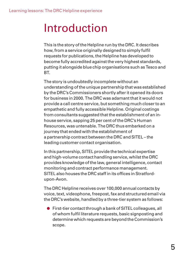# Introduction

This is the story of the Helpline run by the DRC. It describes how, from a service originally designed to simply fulfil requests for publications, the Helpline has developed to become fully accredited against the very highest standards, putting it alongside blue chip organisations such as Tesco and BT.

The story is undoubtedly incomplete without an understanding of the unique partnership that was established by the DRC's Commissioners shortly after it opened its doors for business in 2000. The DRC was adamant that it would not provide a call centre service, but something much closer to an empathetic and fully accessible Helpline. Original costings from consultants suggested that the establishment of an inhouse service, sapping 25 per cent of the DRC's Human Resources, was untenable. The DRC thus embarked on a journey that ended with the establishment of a partnership contract between the DRC and SITEL – the leading customer contact organisation.

In this partnership, SITEL provide the technical expertise and high-volume contact handling service, whilst the DRC provides knowledge of the law, general intelligence, contact monitoring and contract performance management. SITEL also houses the DRC staff in its offices in Stratfordupon-Avon.

The DRC Helpline receives over 100,000 annual contacts by voice, text, videophone, freepost, fax and structured email via the DRC's website, handled by a three-tier system as follows:

• First-tier contact through a bank of SITEL colleagues, all of whom fulfil literature requests, basic signposting and determine which requests are beyond the Commission's scope.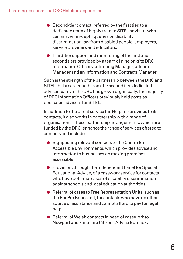- Second-tier contact, referred by the first tier, to a dedicated team of highly trained SITEL advisers who can answer in-depth queries on disability discrimination law from disabled people, employers, service providers and educators.
- Third-tier support and monitoring of the first and second tiers provided by a team of nine on-site DRC Information Officers, a Training Manager, a Team Manager and an Information and Contracts Manager.

Such is the strength of the partnership between the DRC and SITEL that a career path from the second tier, dedicated adviser team, to the DRC has grown organically: the majority of DRC Information Officers previously held posts as dedicated advisers for SITEL.

In addition to the direct service the Helpline provides to its contacts, it also works in partnership with a range of organisations. These partnership arrangements, which are funded by the DRC, enhance the range of services offered to contacts and include:

- Signposting relevant contacts to the Centre for Accessible Environments, which provides advice and information to businesses on making premises accessible.
- **Provision, through the Independent Panel for Special** Educational Advice, of a casework service for contacts who have potential cases of disability discrimination against schools and local education authorities.
- Referral of cases to Free Representation Units, such as the Bar Pro Bono Unit, for contacts who have no other source of assistance and cannot afford to pay for legal help.
- Referral of Welsh contacts in need of casework to Newport and Flintshire Citizens Advice Bureaux.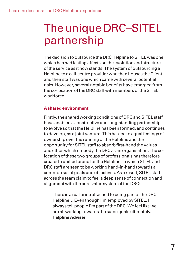# The unique DRC–SITEL partnership

The decision to outsource the DRC Helpline to SITEL was one which has had lasting effects on the evolution and structure of the service as it now stands. The system of outsourcing a Helpline to a call-centre provider who then houses the Client and their staff was one which came with several potential risks. However, several notable benefits have emerged from the co-location of the DRC staff with members of the SITEL workforce.

## **A shared environment**

Firstly, the shared working conditions of DRC and SITEL staff have enabled a constructive and long-standing partnership to evolve so that the Helpline has been formed, and continues to develop, as a joint venture. This has led to equal feelings of ownership over the running of the Helpline and the opportunity for SITEL staff to absorb first-hand the values and ethos which embody the DRC as an organisation. The colocation of these two groups of professionals has therefore created a unified brand for the Helpline, in which SITEL and DRC staff are seen to be working hand-in-hand towards a common set of goals and objectives. As a result, SITEL staff across the team claim to feel a deep sense of connection and alignment with the core value system of the DRC:

There is a real pride attached to being part of the DRC Helpline… Even though I'm employed by SITEL, I always tell people I'm part of the DRC. We feel like we are all working towards the same goals ultimately. **Helpline Adviser**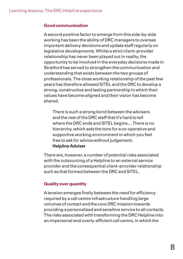### **Good communication**

A second positive factor to emerge from this side-by-side working has been the ability of DRC managers to oversee important delivery decisions and update staff regularly on legislative developments. Whilst a strict client–provider relationship has never been played out in reality, the opportunity to be involved in the everyday decisions made in Stratford has served to strengthen the communication and understanding that exists between the two groups of professionals. The close working relationship of the past few years has therefore allowed SITEL and the DRC to develop a strong, constructive and lasting partnership in which their values have become aligned and their vision has become shared.

There is such a strong bond between the advisers and the rest of the DRC staff that it's hard to tell where the DRC ends and SITEL begins… There is no hierarchy, which sets the tone for a co-operative and supportive working environment in which you feel free to ask for advice without judgement. **Helpline Adviser**

There are, however, a number of potential risks associated with the outsourcing of a Helpline to an external service provider and the consequential client–provider relationship such as that formed between the DRC and SITEL.

### **Quality over quantity**

A tension emerges firstly between the need for efficiency required by a call centre infrastructure handling large volumes of contact and the core DRC mission towards providing a personalised and sensitive service to all contacts. The risks associated with transforming the DRC Helpline into an impersonal and overly-efficient call centre, in which the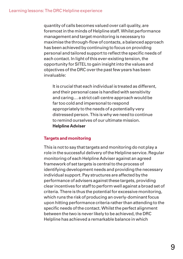quantity of calls becomes valued over call quality, are foremost in the minds of Helpline staff. Whilst performance management and target monitoring is necessary to maximise the through-flow of contacts, a balanced approach has been achieved by continuing to focus on providing personal and tailored support to reflect the specific needs of each contact. In light of this ever-existing tension, the opportunity for SITEL to gain insight into the values and objectives of the DRC over the past few years has been invaluable:

It is crucial that each individual is treated as different, and their personal case is handled with sensitivity and caring… a strict call-centre approach would be far too cold and impersonal to respond appropriately to the needs of a potentially very distressed person. This is why we need to continue to remind ourselves of our ultimate mission. **Helpline Adviser**

### **Targets and monitoring**

This is not to say that targets and monitoring do not play a role in the successful delivery of the Helpline service. Regular monitoring of each Helpline Adviser against an agreed framework of set targets is central to the process of identifying development needs and providing the necessary individual support. Pay structures are affected by the performance of advisers against these targets, providing clear incentives for staff to perform well against a broad set of criteria. There is thus the potential for excessive monitoring, which runs the risk of producing an overly-dominant focus upon hitting performance criteria rather than attending to the specific needs of the contact. Whilst the perfect alignment between the two is never likely to be achieved, the DRC Helpline has achieved a remarkable balance in which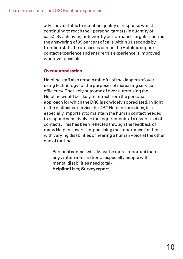advisers feel able to maintain quality of response whilst continuing to reach their personal targets (ie quantity of calls). By achieving noteworthy performance targets, such as the answering of 99 per cent of calls within 31 seconds by frontline staff, the processes behind the Helpline support contact experience and ensure this experience is improved wherever possible.

### **Over-automisation**

Helpline staff also remain mindful of the dangers of overusing technology for the purposes of increasing service efficiency. The likely outcome of over-automising the Helpline would be likely to retract from the personal approach for which the DRC is so widely appreciated. In light of the distinctive service the DRC Helpline provides, it is especially important to maintain the human contact needed to respond sensitively to the requirements of a diverse set of contacts. This has been reflected through the feedback of many Helpline users, emphasising the importance for those with varying disabilities of hearing a human voice at the other end of the line:

Personal contact will always be more important than any written information… especially people with mental disabilities need to talk. **Helpline User, Survey report**

10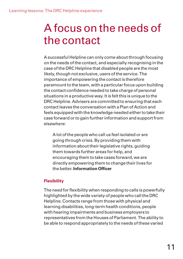# A focus on the needs of the contact

A successful Helpline can only come about through focusing on the needs of the contact, and especially recognising in the case of the DRC Helpline that disabled people are the most likely, though not exclusive, users of the service. The importance of empowering the contact is therefore paramount to the team, with a particular focus upon building the contact confidence needed to take charge of personal situations in a productive way. It is felt this is unique to the DRC Helpline. Advisers are committed to ensuring that each contact leaves the conversation with a Plan of Action and feels equipped with the knowledge needed either to take their case forward or to gain further information and support from elsewhere:

A lot of the people who call us feel isolated or are going through crisis. By providing them with information about their legislative rights, guiding them towards further areas for help, and encouraging them to take cases forward, we are directly empowering them to change their lives for the better. **Information Officer**

## **Flexibility**

The need for flexibility when responding to calls is powerfully highlighted by the wide variety of people who call the DRC Helpline. Contacts range from those with physical and learning disabilities, long-term health conditions, people with hearing impairments and business employers to representatives from the Houses of Parliament. The ability to be able to respond appropriately to the needs of these varied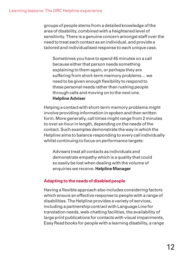groups of people stems from a detailed knowledge of the area of disability, combined with a heightened level of sensitivity. There is a genuine concern amongst staff over the need to treat each contact as an individual, and provide a tailored and individualised response to each unique case.

Sometimes you have to spend 45 minutes on a call because either that person needs something explaining to them again, or perhaps they are suffering from short-term memory problems… we need to be given enough flexibility to respond to these personal needs rather than rushing people through calls and moving on to the next one. **Helpline Adviser**

Helping a contact with short-term memory problems might involve providing information in spoken and then written form. More generally, call times might range from 2 minutes to over an hour in length, depending on the needs of the contact. Such examples demonstrate the way in which the Helpline aims to balance responding to every call individually whilst continuing to focus on performance targets:

Advisers treat all contacts as individuals and demonstrate empathy which is a quality that could so easily be lost when dealing with the volume of enquiries we receive. **Helpline Manager**

### **Adapting to the needs of disabled people**

Having a flexible approach also includes considering factors which ensure an effective response to people with a range of disabilities. The Helpline provides a variety of services, including a partnership contract with Language Line for translation needs, web-chatting facilities, the availability of large print publications for contacts with visual impairments, Easy Read books for people with a learning disability, a range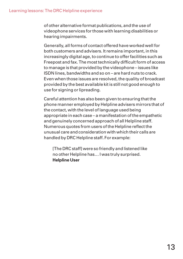of other alternative format publications, and the use of videophone services for those with learning disabilities or hearing impairments.

Generally, all forms of contact offered have worked well for both customers and advisers. It remains important, in this increasingly digital age, to continue to offer facilities such as Freepost and fax. The most technically difficult form of access to manage is that provided by the videophone – issues like ISDN lines, bandwidths and so on – are hard nuts to crack. Even when those issues are resolved, the quality of broadcast provided by the best available kit is still not good enough to use for signing or lipreading.

Careful attention has also been given to ensuring that the phone manner employed by Helpline advisers mirrors that of the contact, with the level of language used being appropriate in each case – a manifestation of the empathetic and genuinely concerned approach of all Helpline staff. Numerous quotes from users of the Helpline reflect the unusual care and consideration with which their calls are handled by DRC Helpline staff. For example:

[The DRC staff] were so friendly and listened like no other Helpline has… I was truly surprised. **Helpline User**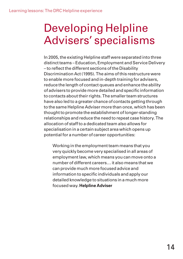# Developing Helpline Advisers' specialisms

In 2005, the existing Helpline staff were separated into three distinct teams – Education, Employment and Service Delivery – to reflect the different sections of the Disability Discrimination Act (1995). The aims of this restructure were to enable more focused and in-depth training for advisers, reduce the length of contact queues and enhance the ability of advisers to provide more detailed and specific information to contacts about their rights. The smaller team structures have also led to a greater chance of contacts getting through to the same Helpline Adviser more than once, which has been thought to promote the establishment of longer-standing relationships and reduce the need to repeat case history. The allocation of staff to a dedicated team also allows for specialisation in a certain subject area which opens up potential for a number of career opportunities:

Working in the employment team means that you very quickly become very specialised in all areas of employment law, which means you can move onto a number of different careers… it also means that we can provide much more focused advice and information to specific individuals and apply our detailed knowledge to situations in a much more focused way. **Helpline Adviser**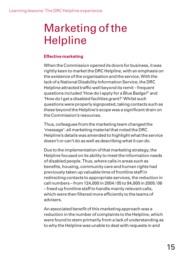# Marketing of the Helpline

## **Effective marketing**

When the Commission opened its doors for business, it was rightly keen to market the DRC Helpline, with an emphasis on the existence of the organisation and the service. With the lack of a National Disability Information Service, the DRC Helpline attracted traffic well beyond its remit – frequent questions included 'How do I apply for a Blue Badge?' and 'How do I get a disabled facilities grant?' Whilst such questions were properly signposted, taking contacts such as these beyond the Helpline's scope was a significant drain on the Commission's resources.

Thus, colleagues from the marketing team changed the 'message': all marketing material that noted the DRC Helpline's details was amended to highlight what the service doesn't or can't do as well as describing what it can do.

Due to the implementation of that marketing strategy, the Helpline focused on its ability to meet the information needs of disabled people. Thus, where calls in areas such as benefits, housing, community care and human rights had previously taken up valuable time of frontline staff in redirecting contacts to appropriate services, the reduction in call numbers – from 124,000 in 2004 / 05 to 94,000 in 2005 / 06 – freed up frontline staff to handle mainly relevant calls, which were then filtered more efficiently to the teams of advisers.

An associated benefit of this marketing approach was a reduction in the number of complaints to the Helpline, which were found to stem primarily from a lack of understanding as to why the Helpline was unable to deal with requests in and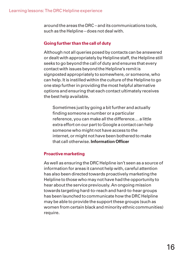around the areas the DRC – and its communications tools, such as the Helpline – does not deal with.

## **Going further than the call of duty**

Although not all queries posed by contacts can be answered or dealt with appropriately by Helpline staff, the Helpline still seeks to go beyond the call of duty and ensures that every contact with issues beyond the Helpline's remit is signposted appropriately to somewhere, or someone, who can help. It is instilled within the culture of the Helpline to go one step further in providing the most helpful alternative options and ensuring that each contact ultimately receives the best help available.

Sometimes just by going a bit further and actually finding someone a number or a particular reference, you can make all the difference… a little extra effort on our part to Google a contact can help someone who might not have access to the internet, or might not have been bothered to make that call otherwise. **Information Officer**

### **Proactive marketing**

As well as ensuring the DRC Helpline isn't seen as a source of information for areas it cannot help with, careful attention has also been directed towards proactively marketing the Helpline to those who may not have had the opportunity to hear about the service previously. An ongoing mission towards targeting hard-to-reach and hard-to-hear groups has been launched to communicate how the DRC Helpline may be able to provide the support these groups (such as women from certain black and minority ethnic communities) require.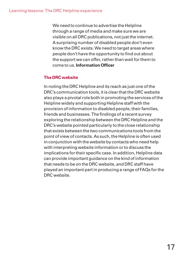We need to continue to advertise the Helpline through a range of media and make sure we are visible on all DRC publications, not just the internet. A surprising number of disabled people don't even know the DRC exists. We need to target areas where people don't have the opportunity to find out about the support we can offer, rather than wait for them to come to us. **Information Officer**

## **The DRC website**

In noting the DRC Helpline and its reach as just one of the DRC's communication tools, it is clear that the DRC website also plays a pivotal role both in promoting the services of the Helpline widely and supporting Helpline staff with the provision of information to disabled people, their families, friends and businesses. The findings of a recent survey exploring the relationship between the DRC Helpline and the DRC's website pointed particularly to the close relationship that exists between the two communications tools from the point of view of contacts. As such, the Helpline is often used in conjunction with the website by contacts who need help with interpreting website information or to discuss the implications for their specific case. In addition, Helpline data can provide important guidance on the kind of information that needs to be on the DRC website, and DRC staff have played an important part in producing a range of FAQs for the DRC website.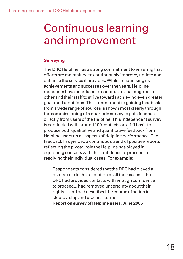# Continuous learning and improvement

### **Surveying**

The DRC Helpline has a strong commitment to ensuring that efforts are maintained to continuously improve, update and enhance the service it provides. Whilst recognising its achievements and successes over the years, Helpline managers have been keen to continue to challenge each other and their staff to strive towards achieving even greater goals and ambitions. The commitment to gaining feedback from a wide range of sources is shown most clearly through the commissioning of a quarterly survey to gain feedback directly from users of the Helpline. This independent survey is conducted with around 100 contacts on a 1:1 basis to produce both qualitative and quantitative feedback from Helpline users on all aspects of Helpline performance. The feedback has yielded a continuous trend of positive reports reflecting the pivotal role the Helpline has played in equipping contacts with the confidence to proceed in resolving their individual cases. For example:

Respondents considered that the DRC had played a pivotal role in the resolution of all their cases... the DRC had provided contacts with enough confidence to proceed... had removed uncertainty about their rights… and had described the course of action in step-by-step and practical terms.

**Report on survey of Helpline users, June 2006**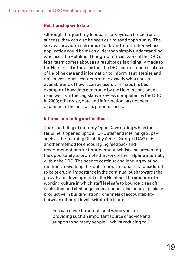### **Relationship with data**

Although the quarterly feedback surveys can be seen as a success, they can also be seen as a missed opportunity. The surveys provide a rich mine of data and information whose application could be much wider than simply understanding who uses the Helpline. Though some casework of the DRC's legal team comes about as a result of calls originally made to the Helpline, it is the case that the DRC has not made best use of Helpline data and information to inform its strategies and objectives, much less determined exactly what data is available and of how it can be useful. Perhaps the best example of how data generated by the Helpline has been used well is in the Legislative Review completed by the DRC in 2003; otherwise, data and information has not been exploited to the best of its potential uses.

## **Internal marketing and feedback**

The scheduling of monthly Open Days during which the Helpline is opened up to all DRC staff and internal groups – such as the Learning Disability Action Group (LDAG) – is another method for encouraging feedback and recommendations for improvement, whilst also presenting the opportunity to promote the work of the Helpline internally within the DRC. The need to continue challenging existing methods of working through internal feedback is considered to be of crucial importance in the continual push towards the growth and development of the Helpline. The creation of a working culture in which staff feel safe to bounce ideas off each other and challenge behaviour has also been especially productive in building strong channels of accountability between different levels within the team:

You can never be complacent when you are providing such an important source of advice and support to so many people… whilst reducing call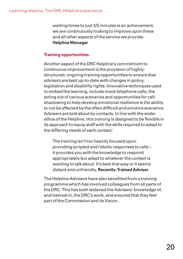waiting times to just 3/5 minutes is an achievement, we are continuously looking to improve upon these and all other aspects of the service we provide. **Helpline Manager**

### **Training opportunities**

Another aspect of the DRC Helpline's commitment to continuous improvement is the provision of highlystructured, ongoing training opportunities to ensure that advisers are kept up-to-date with changes in policy, legislation and disability rights. Innovative techniques used to embed the learning, include mock telephone calls, the acting out of various scenarios and opportunities for callshadowing to help develop emotional resilience ie the ability to not be affected by the often difficult and emotive scenarios Advisers are told about by contacts. In line with the wider ethos of the Helpline, this training is designed to be flexible in its approach to equip staff with the skills required to adapt to the differing needs of each contact:

The training isn't too heavily focused upon providing scripted and robotic responses to calls – it provides you with the knowledge to respond appropriately but adapt to whatever the contact is wanting to talk about. It's best that way or it seems distant and unfriendly.**Recently-Trained Adviser**

The Helpline Advisers have also benefited from a training programme which has involved colleagues from all parts of the DRC. This has both widened the Advisers' knowledge of, and interest in, the DRC's work, and ensured that they feel part of the Commission and its Vision.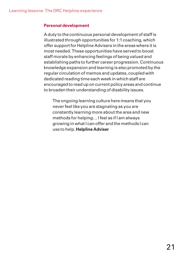### **Personal development**

A duty to the continuous personal development of staff is illustrated through opportunities for 1:1 coaching, which offer support for Helpline Advisers in the areas where it is most needed. These opportunities have served to boost staff morale by enhancing feelings of being valued and establishing paths to further career progression. Continuous knowledge expansion and learning is also promoted by the regular circulation of memos and updates, coupled with dedicated reading time each week in which staff are encouraged to read up on current policy areas and continue to broaden their understanding of disability issues.

The ongoing learning culture here means that you never feel like you are stagnating as you are constantly learning more about the area and new methods for helping… I feel as if I am always growing in what I can offer and the methods I can use to help. **Helpline Adviser**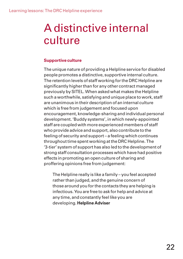# A distinctive internal culture

### **Supportive culture**

The unique nature of providing a Helpline service for disabled people promotes a distinctive, supportive internal culture. The retention levels of staff working for the DRC Helpline are significantly higher than for any other contract managed previously by SITEL. When asked what makes the Helpline such a worthwhile, satisfying and unique place to work, staff are unanimous in their description of an internal culture which is free from judgement and focused upon encouragement, knowledge-sharing and individual personal development. 'Buddy systems', in which newly-appointed staff are coupled with more experienced members of staff who provide advice and support, also contribute to the feeling of security and support – a feeling which continues throughout time spent working at the DRC Helpline. The '3-tier' system of support has also led to the development of strong staff consultation processes which have had positive effects in promoting an open culture of sharing and proffering opinions free from judgement:

The Helpline really is like a family – you feel accepted rather than judged, and the genuine concern of those around you for the contacts they are helping is infectious. You are free to ask for help and advice at any time, and constantly feel like you are developing. **Helpline Adviser**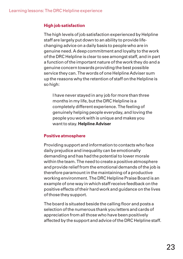### **High job satisfaction**

The high levels of job satisfaction experienced by Helpline staff are largely put down to an ability to provide lifechanging advice on a daily basis to people who are in genuine need. A deep commitment and loyalty to the work of the DRC Helpline is clear to see amongst staff, and in part a function of the important nature of the work they do and a genuine concern towards providing the best possible service they can. The words of one Helpline Adviser sum up the reasons why the retention of staff on the Helpline is so high:

I have never stayed in any job for more than three months in my life, but the DRC Helpline is a completely different experience. The feeling of genuinely helping people everyday, and loving the people you work with is unique and makes you want to stay. **Helpline Adviser**

### **Positive atmosphere**

Providing support and information to contacts who face daily prejudice and inequality can be emotionally demanding and has had the potential to lower morale within the team. The need to create a positive atmosphere and provide relief from the emotional demands of the job is therefore paramount in the maintaining of a productive working environment. The DRC Helpline Praise Board is an example of one way in which staff receive feedback on the positive effects of their hard work and guidance on the lives of those they support.

The board is situated beside the calling floor and posts a selection of the numerous thank you letters and cards of appreciation from all those who have been positively affected by the support and advice of the DRC Helpline staff.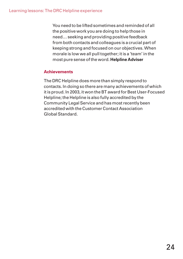You need to be lifted sometimes and reminded of all the positive work you are doing to help those in need… seeking and providing positive feedback from both contacts and colleagues is a crucial part of keeping strong and focused on our objectives. When morale is low we all pull together; it is a 'team' in the most pure sense of the word. **Helpline Adviser**

### **Achievements**

The DRC Helpline does more than simply respond to contacts. In doing so there are many achievements of which it is proud. In 2003, it won the BT award for Best User-Focused Helpline; the Helpline is also fully accredited by the Community Legal Service and has most recently been accredited with the Customer Contact Association Global Standard.